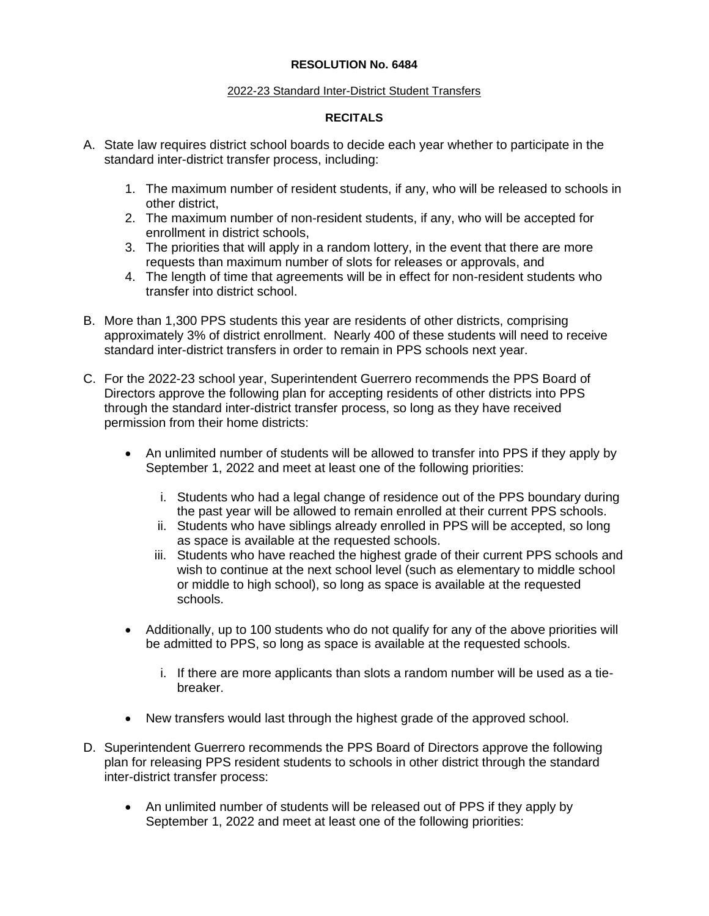## **RESOLUTION No. 6484**

## 2022-23 Standard Inter-District Student Transfers

## **RECITALS**

- A. State law requires district school boards to decide each year whether to participate in the standard inter-district transfer process, including:
	- 1. The maximum number of resident students, if any, who will be released to schools in other district,
	- 2. The maximum number of non-resident students, if any, who will be accepted for enrollment in district schools,
	- 3. The priorities that will apply in a random lottery, in the event that there are more requests than maximum number of slots for releases or approvals, and
	- 4. The length of time that agreements will be in effect for non-resident students who transfer into district school.
- B. More than 1,300 PPS students this year are residents of other districts, comprising approximately 3% of district enrollment. Nearly 400 of these students will need to receive standard inter-district transfers in order to remain in PPS schools next year.
- C. For the 2022-23 school year, Superintendent Guerrero recommends the PPS Board of Directors approve the following plan for accepting residents of other districts into PPS through the standard inter-district transfer process, so long as they have received permission from their home districts:
	- An unlimited number of students will be allowed to transfer into PPS if they apply by September 1, 2022 and meet at least one of the following priorities:
		- i. Students who had a legal change of residence out of the PPS boundary during the past year will be allowed to remain enrolled at their current PPS schools.
		- ii. Students who have siblings already enrolled in PPS will be accepted, so long as space is available at the requested schools.
		- iii. Students who have reached the highest grade of their current PPS schools and wish to continue at the next school level (such as elementary to middle school or middle to high school), so long as space is available at the requested schools.
	- Additionally, up to 100 students who do not qualify for any of the above priorities will be admitted to PPS, so long as space is available at the requested schools.
		- i. If there are more applicants than slots a random number will be used as a tiebreaker.
	- New transfers would last through the highest grade of the approved school.
- D. Superintendent Guerrero recommends the PPS Board of Directors approve the following plan for releasing PPS resident students to schools in other district through the standard inter-district transfer process:
	- An unlimited number of students will be released out of PPS if they apply by September 1, 2022 and meet at least one of the following priorities: